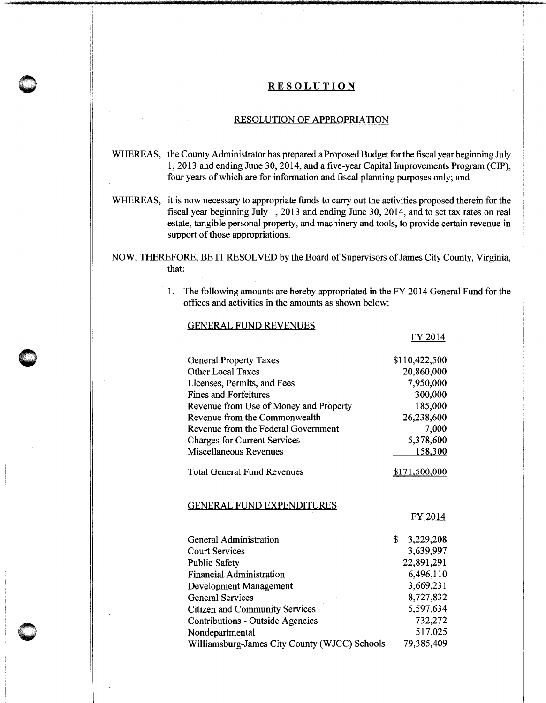# **0** ' **RESOLUTION**

#### RESOLUTION OF APPROPRIATION

- WHEREAS, the County Administrator has prepared a Proposed Budget for the fiscal year beginning July 1, 2013 and ending June 30,2014, and a five-year Capital Improvements Program (CIP), four years of which are for information and fiscal planning purposes only; and
- WHEREAS, it is now necessary to appropriate funds to carry out the activities proposed therein for the fiscal year beginning July 1, 2013 and ending June 30, 2014, and to set tax rates on real estate, tangible personal property, and machinery and tools, to provide certain revenue in support of those appropriations.

NOW, THEREFORE, BE IT RESOLVED by the Board of Supervisors of James City County, Virginia, that:

> 1. The following amounts are hereby appropriated in the FY 2014 General Fund for the offices and activities in the amounts as shown below:

#### GENERAL FUND REVENUES

| <b>General Property Taxes</b>          | \$110,422,500 |
|----------------------------------------|---------------|
| <b>Other Local Taxes</b>               | 20,860,000    |
| Licenses, Permits, and Fees            | 7,950,000     |
| Fines and Forfeitures                  | 300,000       |
| Revenue from Use of Money and Property | 185,000       |
| Revenue from the Commonwealth          | 26,238,600    |
| Revenue from the Federal Government    | 7,000         |
| <b>Charges for Current Services</b>    | 5,378,600     |
| Miscellaneous Revenues                 | 158,300       |
| <b>Total General Fund Revenues</b>     | \$171,500,000 |

GENERAL FUND EXPENDITURES

FY 2014

FY2014

| General Administration                        | 3,229,208  |
|-----------------------------------------------|------------|
| <b>Court Services</b>                         | 3,639,997  |
| <b>Public Safety</b>                          | 22,891,291 |
| <b>Financial Administration</b>               | 6,496,110  |
| Development Management                        | 3,669,231  |
| <b>General Services</b>                       | 8,727,832  |
| <b>Citizen and Community Services</b>         | 5,597,634  |
| Contributions - Outside Agencies              | 732,272    |
| Nondepartmental                               | 517,025    |
| Williamsburg-James City County (WJCC) Schools | 79,385,409 |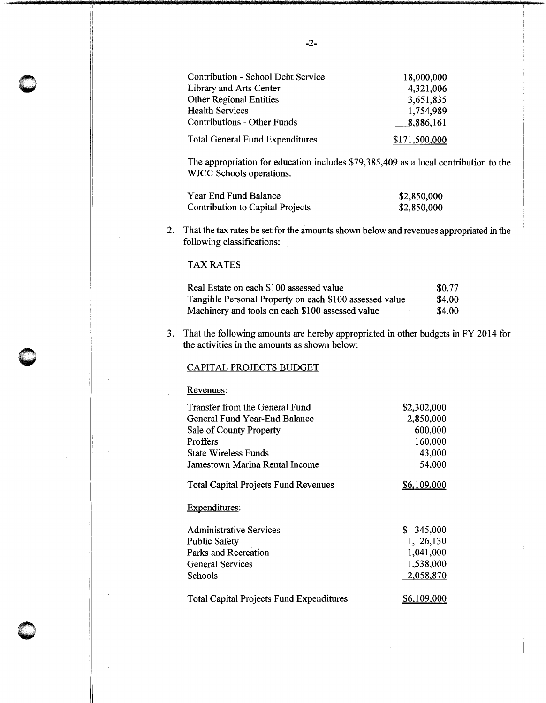| Contribution - School Debt Service     | 18,000,000    |
|----------------------------------------|---------------|
| Library and Arts Center                | 4,321,006     |
| <b>Other Regional Entities</b>         | 3,651,835     |
| <b>Health Services</b>                 | 1,754,989     |
| <b>Contributions - Other Funds</b>     | 8,886,161     |
| <b>Total General Fund Expenditures</b> | \$171,500,000 |

The appropriation for education includes \$79,385,409 as a local contribution to the WJCC Schools operations.

| Year End Fund Balance            | \$2,850,000 |
|----------------------------------|-------------|
| Contribution to Capital Projects | \$2,850,000 |

2. That the tax rates be set for the amounts shown below and revenues appropriated in the following classifications:

## TAX RATES

 $\bigcirc$ 

 $\sim$ 

**0** 

| Real Estate on each \$100 assessed value                | \$0.77       |
|---------------------------------------------------------|--------------|
| Tangible Personal Property on each \$100 assessed value | \$4.00       |
| Machinery and tools on each \$100 assessed value        | <b>S4.00</b> |

3. That the following amounts are hereby appropriated in other budgets in FY 2014 for the activities in the amounts as shown below:

### CAPITAL PROJECTS BUDGET

Revenues:

| Transfer from the General Fund                  | \$2,302,000 |
|-------------------------------------------------|-------------|
| General Fund Year-End Balance                   | 2,850,000   |
| Sale of County Property                         | 600,000     |
| Proffers                                        | 160,000     |
| <b>State Wireless Funds</b>                     | 143,000     |
| Jamestown Marina Rental Income                  | 54,000      |
| <b>Total Capital Projects Fund Revenues</b>     | \$6,109,000 |
| Expenditures:                                   |             |
| <b>Administrative Services</b>                  | \$345,000   |
| <b>Public Safety</b>                            | 1,126,130   |
| Parks and Recreation                            | 1,041,000   |
| General Services                                | 1,538,000   |
| Schools                                         | 2,058,870   |
| <b>Total Capital Projects Fund Expenditures</b> | \$6,109,000 |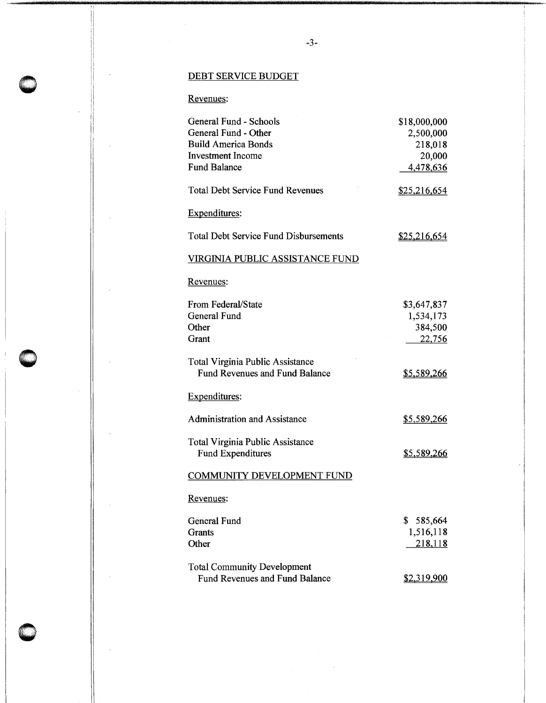# DEBT SERVICE BUDGET

# Revenues:

| General Fund - Schools                                                           | \$18,000,000       |
|----------------------------------------------------------------------------------|--------------------|
| General Fund - Other                                                             | 2,500,000          |
| <b>Build America Bonds</b>                                                       | 218,018            |
| <b>Investment Income</b>                                                         | 20,000             |
| <b>Fund Balance</b>                                                              | 4,478,636          |
| <b>Total Debt Service Fund Revenues</b>                                          | \$25,216,654       |
| <b>Expenditures:</b>                                                             |                    |
| <b>Total Debt Service Fund Disbursements</b>                                     | \$25,216,654       |
| <u>VIRGINIA PUBLIC ASSISTANCE FUND</u>                                           |                    |
| Revenues:                                                                        |                    |
| From Federal/State                                                               | \$3,647,837        |
| General Fund                                                                     | 1,534,173          |
| Other                                                                            | 384,500            |
| Grant                                                                            | 22,756             |
| <b>Total Virginia Public Assistance</b><br><b>Fund Revenues and Fund Balance</b> | \$5,589,266        |
| Expenditures:                                                                    |                    |
| <b>Administration and Assistance</b>                                             | <u>\$5,589,266</u> |
| <b>Total Virginia Public Assistance</b><br><b>Fund Expenditures</b>              | \$5,589,266        |
| <b>COMMUNITY DEVELOPMENT FUND</b>                                                |                    |
| Revenues:                                                                        |                    |
| General Fund                                                                     | \$<br>585,664      |
| Grants                                                                           | 1,516,118          |
| Other                                                                            | <u>218,118</u>     |
| <b>Total Community Development</b>                                               |                    |
| Fund Revenues and Fund Balance                                                   | \$2,319,900        |
|                                                                                  |                    |

 $\bigcirc$ 

**C** 

 $\bigcirc$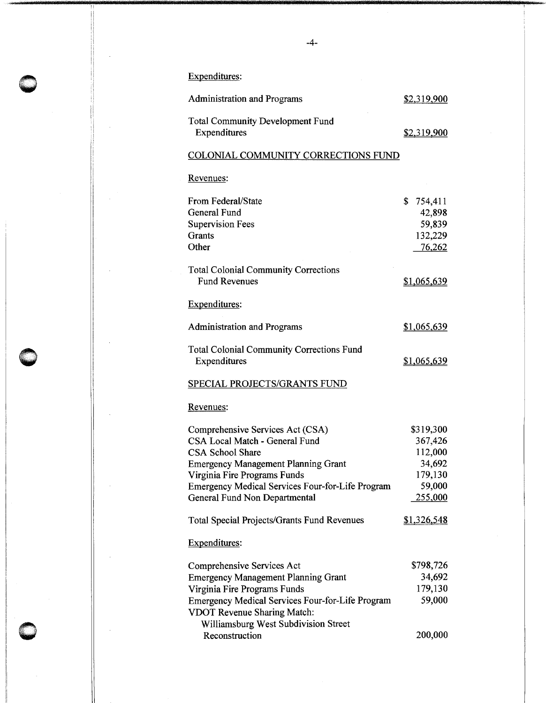Expenditures:

| <b>Administration and Programs</b>                                                                                                                                                                                                                                      | \$2,319,900                                                                      |
|-------------------------------------------------------------------------------------------------------------------------------------------------------------------------------------------------------------------------------------------------------------------------|----------------------------------------------------------------------------------|
| <b>Total Community Development Fund</b><br>Expenditures                                                                                                                                                                                                                 | \$2,319,900                                                                      |
| COLONIAL COMMUNITY CORRECTIONS FUND                                                                                                                                                                                                                                     |                                                                                  |
| Revenues:                                                                                                                                                                                                                                                               |                                                                                  |
| From Federal/State<br><b>General Fund</b><br><b>Supervision Fees</b><br>Grants<br>Other                                                                                                                                                                                 | \$<br>754,411<br>42,898<br>59,839<br>132,229<br>76,262                           |
| <b>Total Colonial Community Corrections</b><br><b>Fund Revenues</b>                                                                                                                                                                                                     | <u>\$1,065,639</u>                                                               |
| Expenditures:                                                                                                                                                                                                                                                           |                                                                                  |
| <b>Administration and Programs</b>                                                                                                                                                                                                                                      | \$1,065,639                                                                      |
| <b>Total Colonial Community Corrections Fund</b><br>Expenditures                                                                                                                                                                                                        | \$1,065,639                                                                      |
| SPECIAL PROJECTS/GRANTS FUND                                                                                                                                                                                                                                            |                                                                                  |
| <u>Revenues:</u>                                                                                                                                                                                                                                                        |                                                                                  |
| Comprehensive Services Act (CSA)<br>CSA Local Match - General Fund<br><b>CSA School Share</b><br><b>Emergency Management Planning Grant</b><br>Virginia Fire Programs Funds<br><b>Emergency Medical Services Four-for-Life Program</b><br>General Fund Non Departmental | \$319,300<br>367,426<br>112,000<br>34,692<br>179,130<br>59,000<br><u>255,000</u> |
| <b>Total Special Projects/Grants Fund Revenues</b>                                                                                                                                                                                                                      | <u>\$1,326,548</u>                                                               |
| <b>Expenditures:</b>                                                                                                                                                                                                                                                    |                                                                                  |
| Comprehensive Services Act<br><b>Emergency Management Planning Grant</b><br>Virginia Fire Programs Funds<br>Emergency Medical Services Four-for-Life Program<br><b>VDOT Revenue Sharing Match:</b><br>Williamsburg West Subdivision Street<br>Reconstruction            | \$798,726<br>34,692<br>179,130<br>59,000<br>200,000                              |
|                                                                                                                                                                                                                                                                         |                                                                                  |

 $\bigcirc$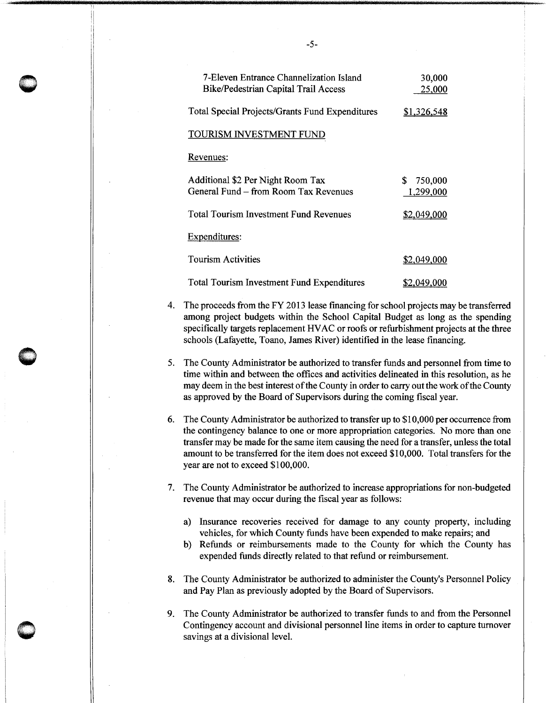| 7-Eleven Entrance Channelization Island<br><b>Bike/Pedestrian Capital Trail Access</b> | 30,000<br>25,000          |
|----------------------------------------------------------------------------------------|---------------------------|
| <b>Total Special Projects/Grants Fund Expenditures</b>                                 | <u>\$1,326,548</u>        |
| TOURISM INVESTMENT FUND                                                                |                           |
| Revenues:                                                                              |                           |
| Additional \$2 Per Night Room Tax<br>General Fund – from Room Tax Revenues             | 750,000<br>S<br>1.299,000 |
| <b>Total Tourism Investment Fund Revenues</b>                                          | <u>\$2,049,000</u>        |
| <b>Expenditures:</b>                                                                   |                           |
| <b>Tourism Activities</b>                                                              | \$2,049,000               |
| <b>Total Tourism Investment Fund Expenditures</b>                                      | \$2,049,000               |

- 4. The proceeds from the FY 2013 lease fmancing for school projects may be transferred among project budgets within the School Capital Budget as long as the spending specifically targets replacement HV AC or roofs or refurbishment projects at the three schools (Lafayette, Toano, James River) identified in the lease financing.
- 5. The County Administrator be authorized to transfer funds and personnel from time to time within and between the offices and activities delineated in this resolution, as he may deem in the best interest of the County in order to carry out the work of the County as approved by the Board of Supervisors during the coming fiscal year.

**O** 

 $\bullet$  $\bigcap$ 

- 6. The County Administrator be authorized to transfer up to \$10,000 per occurrence from the contingency balance to one or more appropriation categories. No more than one transfer may be made for the same item causing the need for a transfer, unless the total amount to be transferred for the item does not exceed \$10,000. Total transfers for the year are not to exceed \$100,000.
- 7. The County Administrator be authorized to increase appropriations for non-budgeted revenue that may occur during the fiscal year as follows:
	- a) Insurance recoveries received for damage to any county property, including vehicles, for which County funds have been expended to make repairs; and
	- b) Refunds or reimbursements made to the County for which the County has expended funds directly related to that refund or reimbursement.
- 8. The County Administrator be authorized to administer the County's Personnel Policy and Pay Plan as previously adopted by the Board of Supervisors.
- 9. The County Administrator be authorized to transfer funds to and from the Personnel Contingency account and divisional personnel line items in order to capture turnover savings at a divisional level.